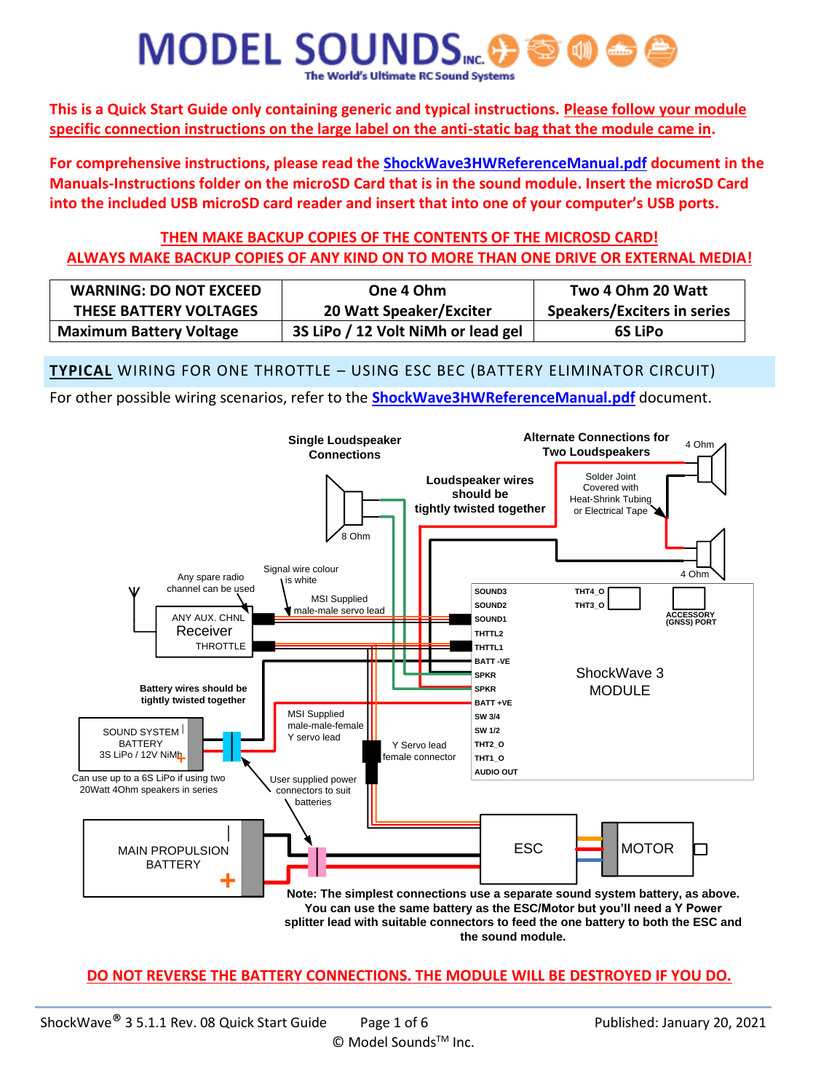**This is a Quick Start Guide only containing generic and typical instructions. Please follow your module specific connection instructions on the large label on the anti-static bag that the module came in.** 

**For comprehensive instructions, please read the ShockWave3HWReferenceManual.pdf document in the Manuals-Instructions folder on the microSD Card that is in the sound module. Insert the microSD Card into the included USB microSD card reader and insert that into one of your computer's USB ports.**

#### **THEN MAKE BACKUP COPIES OF THE CONTENTS OF THE MICROSD CARD! ALWAYS MAKE BACKUP COPIES OF ANY KIND ON TO MORE THAN ONE DRIVE OR EXTERNAL MEDIA!**

| <b>WARNING: DO NOT EXCEED</b>  | One 4 Ohm                          | Two 4 Ohm 20 Watt                  |
|--------------------------------|------------------------------------|------------------------------------|
| <b>THESE BATTERY VOLTAGES</b>  | 20 Watt Speaker/Exciter            | <b>Speakers/Exciters in series</b> |
| <b>Maximum Battery Voltage</b> | 3S LiPo / 12 Volt NiMh or lead gel | <b>6S LiPo</b>                     |

#### **TYPICAL** WIRING FOR ONE THROTTLE – USING ESC BEC (BATTERY ELIMINATOR CIRCUIT)

For other possible wiring scenarios, refer to the **ShockWave3HWReferenceManual.pdf** document.



**DO NOT REVERSE THE BATTERY CONNECTIONS. THE MODULE WILL BE DESTROYED IF YOU DO.**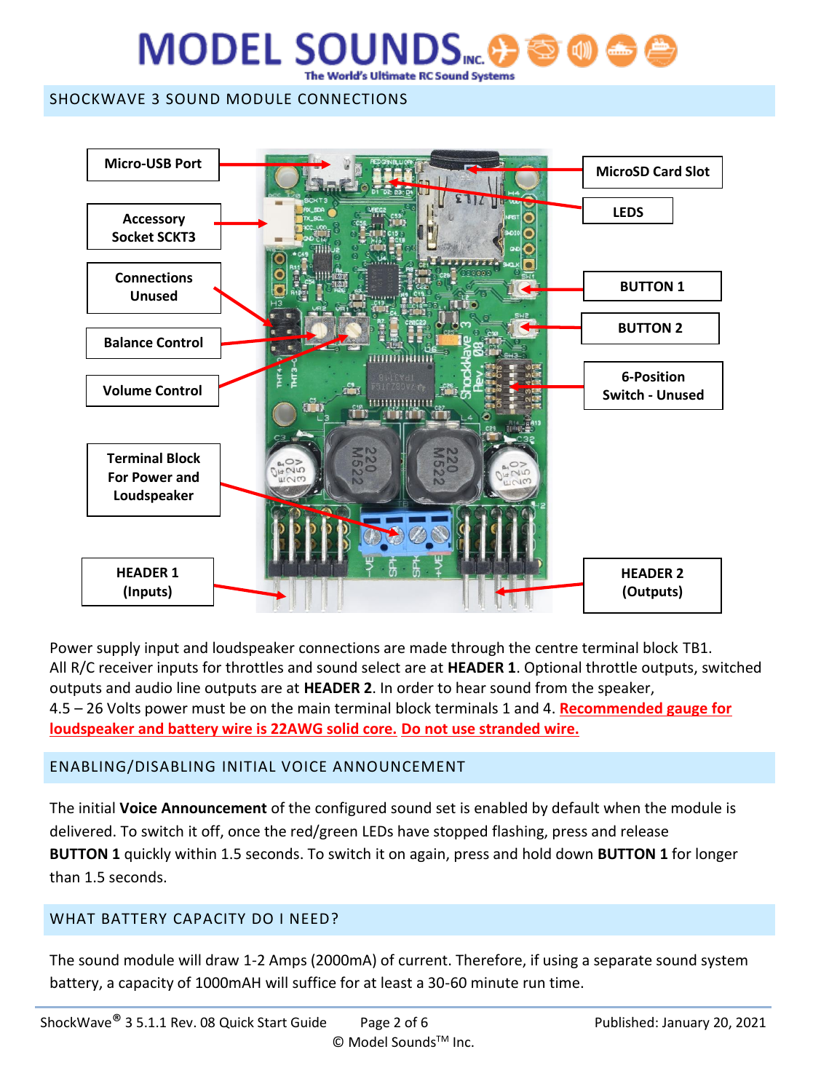#### SHOCKWAVE 3 SOUND MODULE CONNECTIONS



Power supply input and loudspeaker connections are made through the centre terminal block TB1. All R/C receiver inputs for throttles and sound select are at **HEADER 1**. Optional throttle outputs, switched outputs and audio line outputs are at **HEADER 2**. In order to hear sound from the speaker, 4.5 – 26 Volts power must be on the main terminal block terminals 1 and 4. **Recommended gauge for loudspeaker and battery wire is 22AWG solid core. Do not use stranded wire.**

#### ENABLING/DISABLING INITIAL VOICE ANNOUNCEMENT

The initial **Voice Announcement** of the configured sound set is enabled by default when the module is delivered. To switch it off, once the red/green LEDs have stopped flashing, press and release **BUTTON 1** quickly within 1.5 seconds. To switch it on again, press and hold down **BUTTON 1** for longer than 1.5 seconds.

#### WHAT BATTERY CAPACITY DO I NEED?

The sound module will draw 1-2 Amps (2000mA) of current. Therefore, if using a separate sound system battery, a capacity of 1000mAH will suffice for at least a 30-60 minute run time.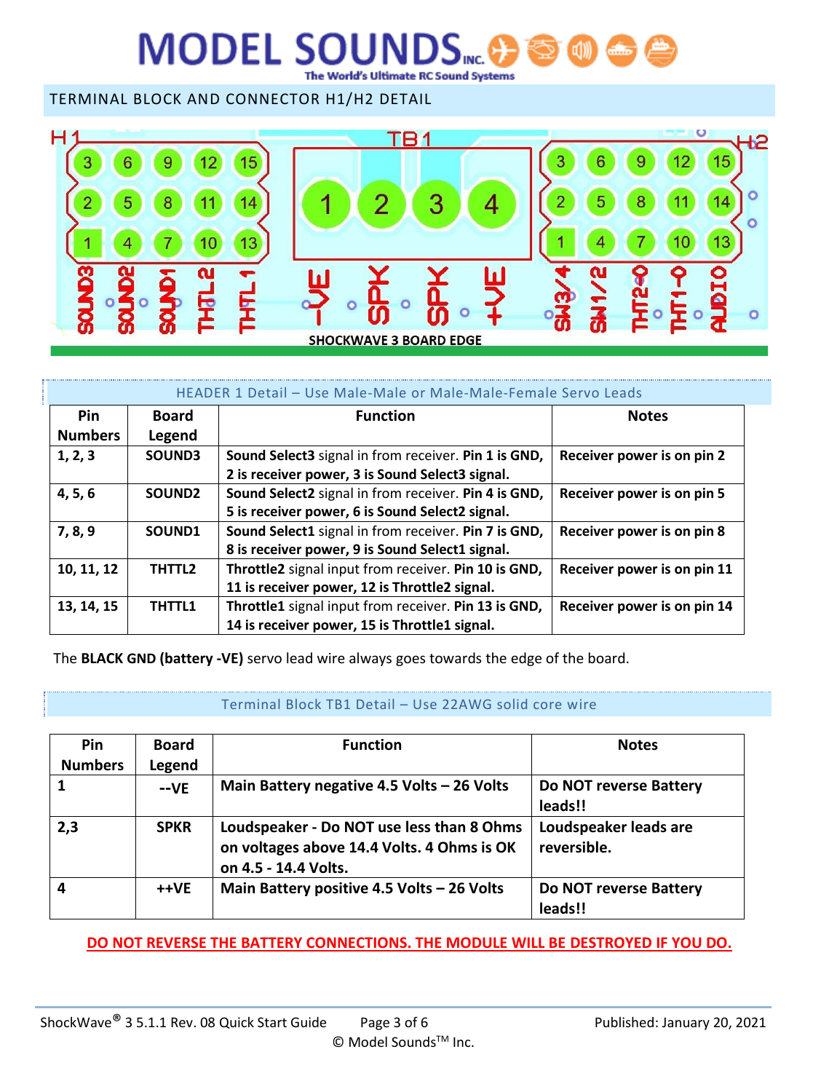The World's Ultimate RC Sound Systems

TERMINAL BLOCK AND CONNECTOR H1/H2 DETAIL



| HEADER 1 Detail - Use Male-Male or Male-Male-Female Servo Leads |                    |                                                      |                             |  |
|-----------------------------------------------------------------|--------------------|------------------------------------------------------|-----------------------------|--|
| Pin                                                             | <b>Board</b>       | <b>Function</b>                                      | <b>Notes</b>                |  |
| <b>Numbers</b>                                                  | Legend             |                                                      |                             |  |
| 1, 2, 3                                                         | SOUND3             | Sound Select3 signal in from receiver. Pin 1 is GND, | Receiver power is on pin 2  |  |
|                                                                 |                    | 2 is receiver power, 3 is Sound Select3 signal.      |                             |  |
| 4, 5, 6                                                         | SOUND <sub>2</sub> | Sound Select2 signal in from receiver. Pin 4 is GND, | Receiver power is on pin 5  |  |
|                                                                 |                    | 5 is receiver power, 6 is Sound Select2 signal.      |                             |  |
| 7, 8, 9                                                         | SOUND1             | Sound Select1 signal in from receiver. Pin 7 is GND, | Receiver power is on pin 8  |  |
|                                                                 |                    | 8 is receiver power, 9 is Sound Select1 signal.      |                             |  |
| 10, 11, 12                                                      | THTTL2             | Throttle2 signal input from receiver. Pin 10 is GND, | Receiver power is on pin 11 |  |
|                                                                 |                    | 11 is receiver power, 12 is Throttle2 signal.        |                             |  |
| 13, 14, 15                                                      | THTTL1             | Throttle1 signal input from receiver. Pin 13 is GND, | Receiver power is on pin 14 |  |
|                                                                 |                    | 14 is receiver power, 15 is Throttle1 signal.        |                             |  |

The **BLACK GND (battery -VE)** servo lead wire always goes towards the edge of the board.

#### Terminal Block TB1 Detail – Use 22AWG solid core wire

| Pin            | <b>Board</b> | <b>Function</b>                            | <b>Notes</b>           |
|----------------|--------------|--------------------------------------------|------------------------|
| <b>Numbers</b> | Legend       |                                            |                        |
|                | $-VE$        | Main Battery negative 4.5 Volts - 26 Volts | Do NOT reverse Battery |
|                |              |                                            | leads!!                |
| 2,3            | <b>SPKR</b>  | Loudspeaker - Do NOT use less than 8 Ohms  | Loudspeaker leads are  |
|                |              | on voltages above 14.4 Volts. 4 Ohms is OK | reversible.            |
|                |              | on 4.5 - 14.4 Volts.                       |                        |
|                | ++VE         | Main Battery positive 4.5 Volts - 26 Volts | Do NOT reverse Battery |
|                |              |                                            | leads!!                |

**DO NOT REVERSE THE BATTERY CONNECTIONS. THE MODULE WILL BE DESTROYED IF YOU DO.**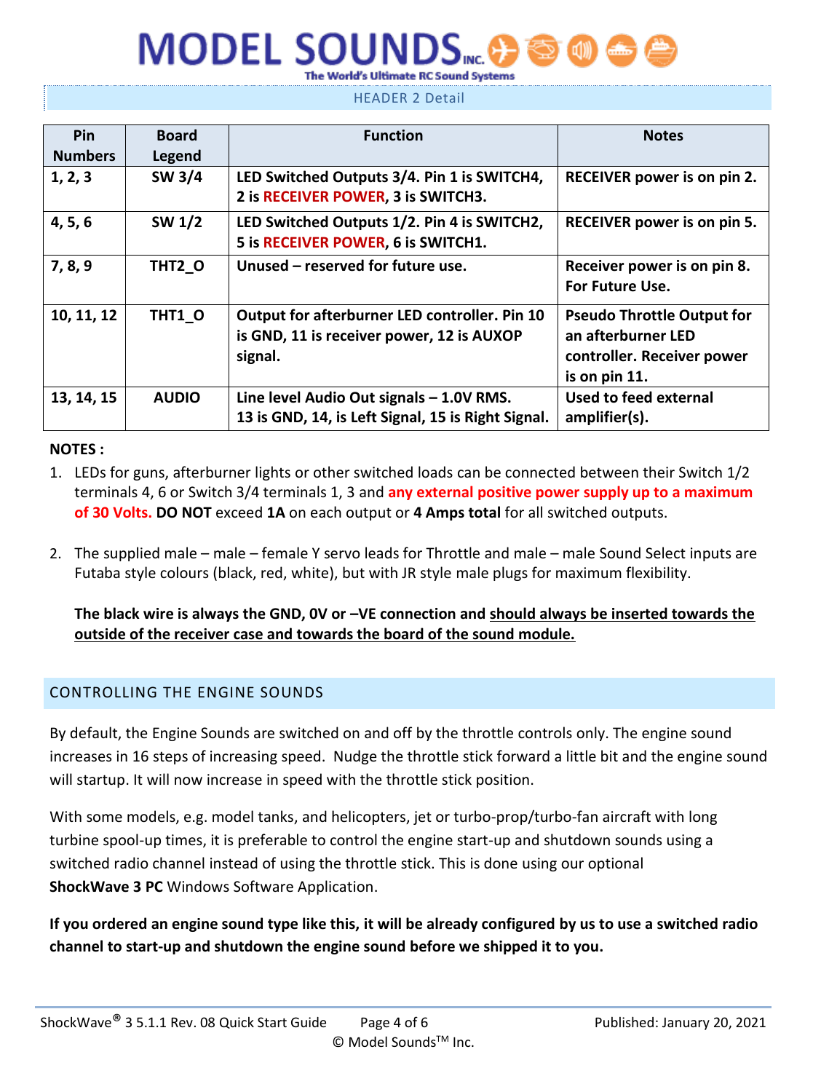HEADER 2 Detail

| Pin            | <b>Board</b>  | <b>Function</b>                                    | <b>Notes</b>                      |
|----------------|---------------|----------------------------------------------------|-----------------------------------|
| <b>Numbers</b> | Legend        |                                                    |                                   |
| 1, 2, 3        | SW 3/4        | LED Switched Outputs 3/4. Pin 1 is SWITCH4,        | RECEIVER power is on pin 2.       |
|                |               | 2 is RECEIVER POWER, 3 is SWITCH3.                 |                                   |
| 4, 5, 6        | <b>SW 1/2</b> | LED Switched Outputs 1/2. Pin 4 is SWITCH2,        | RECEIVER power is on pin 5.       |
|                |               | 5 is RECEIVER POWER, 6 is SWITCH1.                 |                                   |
| 7, 8, 9        | THT2 O        | Unused - reserved for future use.                  | Receiver power is on pin 8.       |
|                |               |                                                    | For Future Use.                   |
| 10, 11, 12     | THT1 O        | Output for afterburner LED controller. Pin 10      | <b>Pseudo Throttle Output for</b> |
|                |               | is GND, 11 is receiver power, 12 is AUXOP          | an afterburner LED                |
|                |               | signal.                                            | controller. Receiver power        |
|                |               |                                                    | is on pin 11.                     |
| 13, 14, 15     | <b>AUDIO</b>  | Line level Audio Out signals - 1.0V RMS.           | Used to feed external             |
|                |               | 13 is GND, 14, is Left Signal, 15 is Right Signal. | amplifier(s).                     |

#### **NOTES :**

- 1. LEDs for guns, afterburner lights or other switched loads can be connected between their Switch 1/2 terminals 4, 6 or Switch 3/4 terminals 1, 3 and **any external positive power supply up to a maximum of 30 Volts. DO NOT** exceed **1A** on each output or **4 Amps total** for all switched outputs.
- 2. The supplied male male female Y servo leads for Throttle and male male Sound Select inputs are Futaba style colours (black, red, white), but with JR style male plugs for maximum flexibility.

**The black wire is always the GND, 0V or –VE connection and should always be inserted towards the outside of the receiver case and towards the board of the sound module.**

#### CONTROLLING THE ENGINE SOUNDS

By default, the Engine Sounds are switched on and off by the throttle controls only. The engine sound increases in 16 steps of increasing speed. Nudge the throttle stick forward a little bit and the engine sound will startup. It will now increase in speed with the throttle stick position.

With some models, e.g. model tanks, and helicopters, jet or turbo-prop/turbo-fan aircraft with long turbine spool-up times, it is preferable to control the engine start-up and shutdown sounds using a switched radio channel instead of using the throttle stick. This is done using our optional **ShockWave 3 PC** Windows Software Application.

**If you ordered an engine sound type like this, it will be already configured by us to use a switched radio channel to start-up and shutdown the engine sound before we shipped it to you.**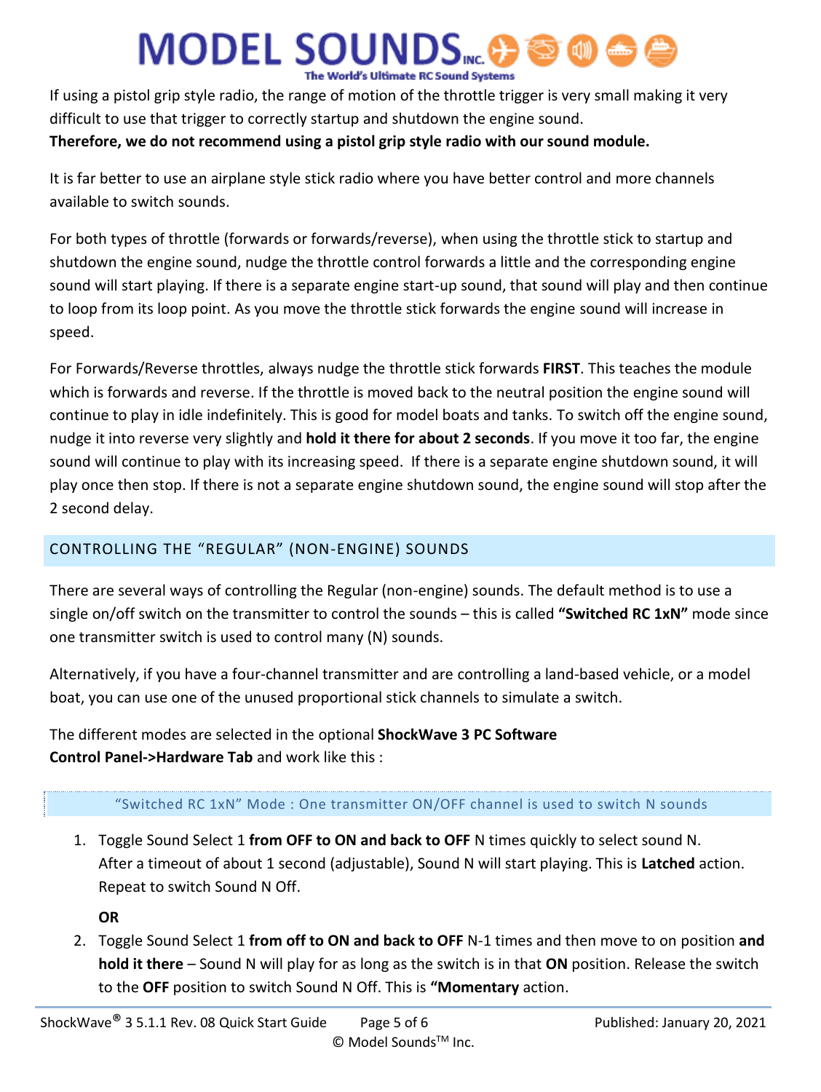If using a pistol grip style radio, the range of motion of the throttle trigger is very small making it very difficult to use that trigger to correctly startup and shutdown the engine sound.

#### **Therefore, we do not recommend using a pistol grip style radio with our sound module.**

It is far better to use an airplane style stick radio where you have better control and more channels available to switch sounds.

For both types of throttle (forwards or forwards/reverse), when using the throttle stick to startup and shutdown the engine sound, nudge the throttle control forwards a little and the corresponding engine sound will start playing. If there is a separate engine start-up sound, that sound will play and then continue to loop from its loop point. As you move the throttle stick forwards the engine sound will increase in speed.

For Forwards/Reverse throttles, always nudge the throttle stick forwards **FIRST**. This teaches the module which is forwards and reverse. If the throttle is moved back to the neutral position the engine sound will continue to play in idle indefinitely. This is good for model boats and tanks. To switch off the engine sound, nudge it into reverse very slightly and **hold it there for about 2 seconds**. If you move it too far, the engine sound will continue to play with its increasing speed. If there is a separate engine shutdown sound, it will play once then stop. If there is not a separate engine shutdown sound, the engine sound will stop after the 2 second delay.

#### CONTROLLING THE "REGULAR" (NON-ENGINE) SOUNDS

There are several ways of controlling the Regular (non-engine) sounds. The default method is to use a single on/off switch on the transmitter to control the sounds – this is called **"Switched RC 1xN"** mode since one transmitter switch is used to control many (N) sounds.

Alternatively, if you have a four-channel transmitter and are controlling a land-based vehicle, or a model boat, you can use one of the unused proportional stick channels to simulate a switch.

The different modes are selected in the optional **ShockWave 3 PC Software Control Panel->Hardware Tab** and work like this :

#### "Switched RC 1xN" Mode : One transmitter ON/OFF channel is used to switch N sounds

1. Toggle Sound Select 1 **from OFF to ON and back to OFF** N times quickly to select sound N. After a timeout of about 1 second (adjustable), Sound N will start playing. This is **Latched** action. Repeat to switch Sound N Off.

**OR**

2. Toggle Sound Select 1 **from off to ON and back to OFF** N-1 times and then move to on position **and hold it there** – Sound N will play for as long as the switch is in that **ON** position. Release the switch to the **OFF** position to switch Sound N Off. This is **"Momentary** action.